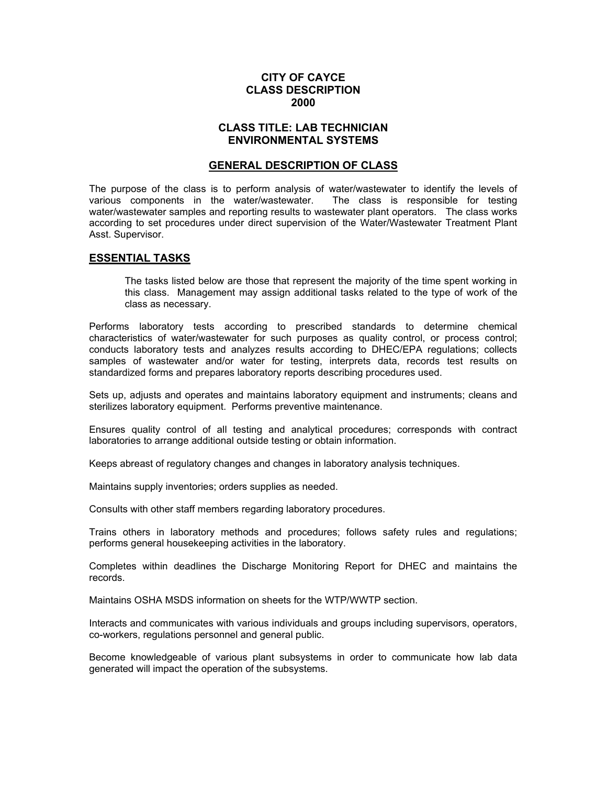## **CITY OF CAYCE CLASS DESCRIPTION 2000**

## **CLASS TITLE: LAB TECHNICIAN ENVIRONMENTAL SYSTEMS**

#### **GENERAL DESCRIPTION OF CLASS**

The purpose of the class is to perform analysis of water/wastewater to identify the levels of various components in the water/wastewater. The class is responsible for testing water/wastewater samples and reporting results to wastewater plant operators. The class works according to set procedures under direct supervision of the Water/Wastewater Treatment Plant Asst. Supervisor.

#### **ESSENTIAL TASKS**

The tasks listed below are those that represent the majority of the time spent working in this class. Management may assign additional tasks related to the type of work of the class as necessary.

Performs laboratory tests according to prescribed standards to determine chemical characteristics of water/wastewater for such purposes as quality control, or process control; conducts laboratory tests and analyzes results according to DHEC/EPA regulations; collects samples of wastewater and/or water for testing, interprets data, records test results on standardized forms and prepares laboratory reports describing procedures used.

Sets up, adjusts and operates and maintains laboratory equipment and instruments; cleans and sterilizes laboratory equipment. Performs preventive maintenance.

Ensures quality control of all testing and analytical procedures; corresponds with contract laboratories to arrange additional outside testing or obtain information.

Keeps abreast of regulatory changes and changes in laboratory analysis techniques.

Maintains supply inventories; orders supplies as needed.

Consults with other staff members regarding laboratory procedures.

Trains others in laboratory methods and procedures; follows safety rules and regulations; performs general housekeeping activities in the laboratory.

Completes within deadlines the Discharge Monitoring Report for DHEC and maintains the records.

Maintains OSHA MSDS information on sheets for the WTP/WWTP section.

Interacts and communicates with various individuals and groups including supervisors, operators, co-workers, regulations personnel and general public.

Become knowledgeable of various plant subsystems in order to communicate how lab data generated will impact the operation of the subsystems.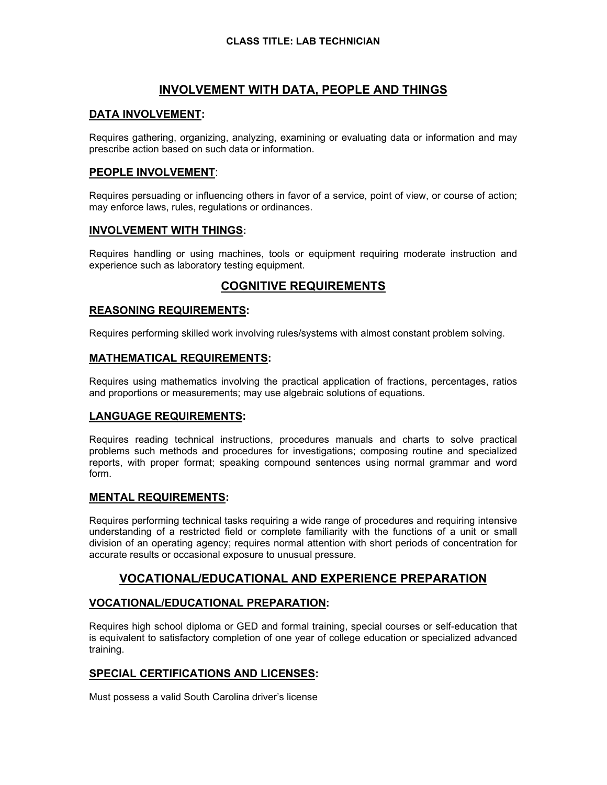# **INVOLVEMENT WITH DATA, PEOPLE AND THINGS**

## **DATA INVOLVEMENT:**

Requires gathering, organizing, analyzing, examining or evaluating data or information and may prescribe action based on such data or information.

## **PEOPLE INVOLVEMENT**:

Requires persuading or influencing others in favor of a service, point of view, or course of action; may enforce laws, rules, regulations or ordinances.

### **INVOLVEMENT WITH THINGS:**

Requires handling or using machines, tools or equipment requiring moderate instruction and experience such as laboratory testing equipment.

# **COGNITIVE REQUIREMENTS**

## **REASONING REQUIREMENTS:**

Requires performing skilled work involving rules/systems with almost constant problem solving.

### **MATHEMATICAL REQUIREMENTS:**

Requires using mathematics involving the practical application of fractions, percentages, ratios and proportions or measurements; may use algebraic solutions of equations.

### **LANGUAGE REQUIREMENTS:**

Requires reading technical instructions, procedures manuals and charts to solve practical problems such methods and procedures for investigations; composing routine and specialized reports, with proper format; speaking compound sentences using normal grammar and word form.

### **MENTAL REQUIREMENTS:**

Requires performing technical tasks requiring a wide range of procedures and requiring intensive understanding of a restricted field or complete familiarity with the functions of a unit or small division of an operating agency; requires normal attention with short periods of concentration for accurate results or occasional exposure to unusual pressure.

# **VOCATIONAL/EDUCATIONAL AND EXPERIENCE PREPARATION**

# **VOCATIONAL/EDUCATIONAL PREPARATION:**

Requires high school diploma or GED and formal training, special courses or self-education that is equivalent to satisfactory completion of one year of college education or specialized advanced training.

# **SPECIAL CERTIFICATIONS AND LICENSES:**

Must possess a valid South Carolina driver's license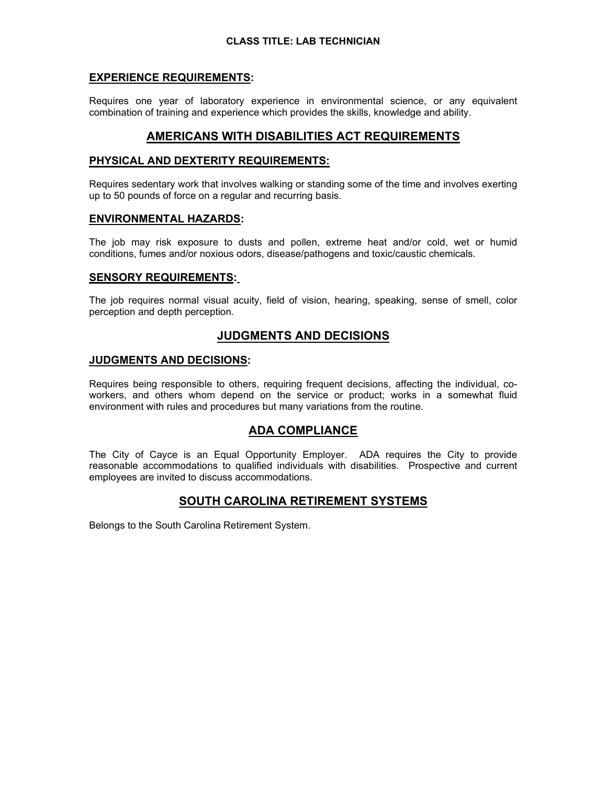## **EXPERIENCE REQUIREMENTS:**

Requires one year of laboratory experience in environmental science, or any equivalent combination of training and experience which provides the skills, knowledge and ability.

# **AMERICANS WITH DISABILITIES ACT REQUIREMENTS**

### **PHYSICAL AND DEXTERITY REQUIREMENTS:**

Requires sedentary work that involves walking or standing some of the time and involves exerting up to 50 pounds of force on a regular and recurring basis.

#### **ENVIRONMENTAL HAZARDS:**

The job may risk exposure to dusts and pollen, extreme heat and/or cold, wet or humid conditions, fumes and/or noxious odors, disease/pathogens and toxic/caustic chemicals.

#### **SENSORY REQUIREMENTS:**

The job requires normal visual acuity, field of vision, hearing, speaking, sense of smell, color perception and depth perception.

# **JUDGMENTS AND DECISIONS**

#### **JUDGMENTS AND DECISIONS:**

Requires being responsible to others, requiring frequent decisions, affecting the individual, coworkers, and others whom depend on the service or product; works in a somewhat fluid environment with rules and procedures but many variations from the routine.

# **ADA COMPLIANCE**

The City of Cayce is an Equal Opportunity Employer. ADA requires the City to provide reasonable accommodations to qualified individuals with disabilities. Prospective and current employees are invited to discuss accommodations.

# **SOUTH CAROLINA RETIREMENT SYSTEMS**

Belongs to the South Carolina Retirement System.